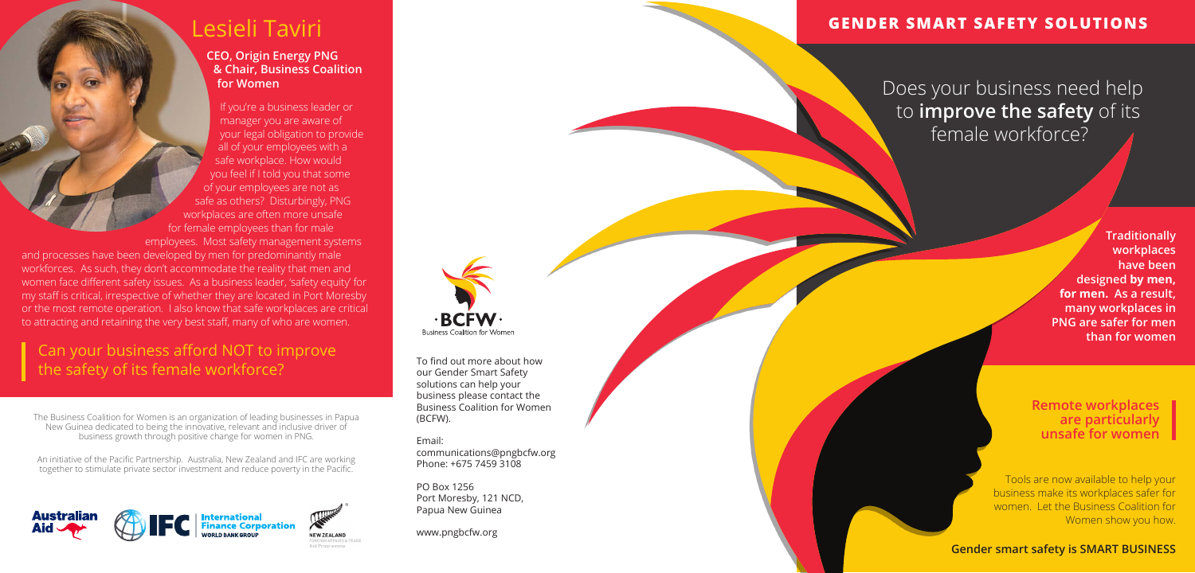The Business Coalition for Women is an organization of leading businesses in Papua New Guinea dedicated to being the innovative, relevant and inclusive driver of business growth through positive change for women in PNG.

To find out more about how our Gender Smart Safety solutions can help your business please contact the Business Coalition for Women (BCFW).

Email:

communications@pngbcfw.org Phone: +675 7459 3108

PO Box 1256 Port Moresby, 121 NCD, Papua New Guinea

www.pngbcfw.org

An initiative of the Pacific Partnership. Australia, New Zealand and IFC are working together to stimulate private sector investment and reduce poverty in the Pacific.



**Business Coalition for Women** 

# Lesieli Taviri

#### **CEO, Origin Energy PNG & Chair, Business Coalition for Women**

and processes have been developed by men for predominantly male workforces. As such, they don't accommodate the reality that men and women face different safety issues. As a business leader, 'safety equity' for my staff is critical, irrespective of whether they are located in Port Moresby or the most remote operation. I also know that safe workplaces are critical to attracting and retaining the very best staff, many of who are women.

If you're a business leader or manager you are aware of your legal obligation to provide all of your employees with a safe workplace. How would you feel if I told you that some of your employees are not as safe as others? Disturbingly, PNG workplaces are often more unsafe for female employees than for male employees. Most safety management systems

# Can your business afford NOT to improve the safety of its female workforce?

**Remote workplaces are particularly unsafe for women**

**Traditionally workplaces have been designed by men, for men. As a result, many workplaces in PNG are safer for men than for women**

Tools are now available to help your business make its workplaces safer for women. Let the Business Coalition for Women show you how.

**Gender smart safety is SMART BUSINESS**

### **GENDER SMART SAFETY SOLUTIONS**

 Does your business need help to **improve the safety** of its female workforce?